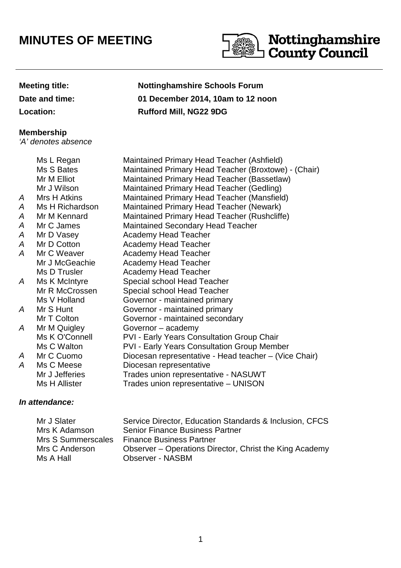## **MINUTES OF MEETING**



Nottinghamshire

## **Meeting title: Nottinghamshire Schools Forum**

**Date and time: 01 December 2014, 10am to 12 noon**

**Location: Rufford Mill, NG22 9DG**

## **Membership**

'A' denotes absence

Ms L Regan Maintained Primary Head Teacher (Ashfield) Ms S Bates Maintained Primary Head Teacher (Broxtowe) - (Chair) Mr M Elliot Maintained Primary Head Teacher (Bassetlaw) Mr J Wilson Maintained Primary Head Teacher (Gedling) A Mrs H Atkins Maintained Primary Head Teacher (Mansfield) A Ms H Richardson Maintained Primary Head Teacher (Newark) A Mr M Kennard Maintained Primary Head Teacher (Rushcliffe) A Mr C James Maintained Secondary Head Teacher A Mr D Vasey Academy Head Teacher A Mr D Cotton Academy Head Teacher A Mr C Weaver Academy Head Teacher Mr J McGeachie Academy Head Teacher Ms D Trusler **Academy Head Teacher** A Ms K McIntyre Special school Head Teacher Mr R McCrossen Special school Head Teacher Ms V Holland Governor - maintained primary A Mr S Hunt Governor - maintained primary Mr T Colton **Governor** - maintained secondary A Mr M Quigley Governor – academy Ms K O'Connell PVI - Early Years Consultation Group Chair Ms C Walton PVI - Early Years Consultation Group Member A Mr C Cuomo Diocesan representative - Head teacher – (Vice Chair) A Ms C Meese Diocesan representative Mr J Jefferies Trades union representative - NASUWT Ms H Allister Trades union representative – UNISON

## **In attendance:**

| Mr J Slater        | Service Director, Education Standards & Inclusion, CFCS |
|--------------------|---------------------------------------------------------|
| Mrs K Adamson      | <b>Senior Finance Business Partner</b>                  |
| Mrs S Summerscales | <b>Finance Business Partner</b>                         |
| Mrs C Anderson     | Observer – Operations Director, Christ the King Academy |
| Ms A Hall          | <b>Observer - NASBM</b>                                 |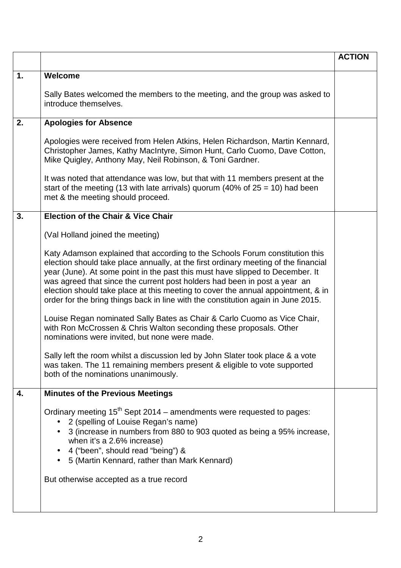|    |                                                                                                                                                                                                                                                                                                                                                                                                                                                                                                                                                                                                                                                                                                                                                                                                                                                                                                                                                                                                          | <b>ACTION</b> |
|----|----------------------------------------------------------------------------------------------------------------------------------------------------------------------------------------------------------------------------------------------------------------------------------------------------------------------------------------------------------------------------------------------------------------------------------------------------------------------------------------------------------------------------------------------------------------------------------------------------------------------------------------------------------------------------------------------------------------------------------------------------------------------------------------------------------------------------------------------------------------------------------------------------------------------------------------------------------------------------------------------------------|---------------|
| 1. | Welcome<br>Sally Bates welcomed the members to the meeting, and the group was asked to<br>introduce themselves.                                                                                                                                                                                                                                                                                                                                                                                                                                                                                                                                                                                                                                                                                                                                                                                                                                                                                          |               |
| 2. | <b>Apologies for Absence</b><br>Apologies were received from Helen Atkins, Helen Richardson, Martin Kennard,<br>Christopher James, Kathy MacIntyre, Simon Hunt, Carlo Cuomo, Dave Cotton,<br>Mike Quigley, Anthony May, Neil Robinson, & Toni Gardner.<br>It was noted that attendance was low, but that with 11 members present at the<br>start of the meeting (13 with late arrivals) quorum (40% of $25 = 10$ ) had been<br>met & the meeting should proceed.                                                                                                                                                                                                                                                                                                                                                                                                                                                                                                                                         |               |
| 3. | <b>Election of the Chair &amp; Vice Chair</b><br>(Val Holland joined the meeting)<br>Katy Adamson explained that according to the Schools Forum constitution this<br>election should take place annually, at the first ordinary meeting of the financial<br>year (June). At some point in the past this must have slipped to December. It<br>was agreed that since the current post holders had been in post a year an<br>election should take place at this meeting to cover the annual appointment, & in<br>order for the bring things back in line with the constitution again in June 2015.<br>Louise Regan nominated Sally Bates as Chair & Carlo Cuomo as Vice Chair,<br>with Ron McCrossen & Chris Walton seconding these proposals. Other<br>nominations were invited, but none were made.<br>Sally left the room whilst a discussion led by John Slater took place & a vote<br>was taken. The 11 remaining members present & eligible to vote supported<br>both of the nominations unanimously. |               |
| 4. | <b>Minutes of the Previous Meetings</b><br>Ordinary meeting 15 <sup>th</sup> Sept 2014 – amendments were requested to pages:<br>• 2 (spelling of Louise Regan's name)<br>3 (increase in numbers from 880 to 903 quoted as being a 95% increase,<br>$\bullet$<br>when it's a 2.6% increase)<br>4 ("been", should read "being") &<br>5 (Martin Kennard, rather than Mark Kennard)<br>$\bullet$<br>But otherwise accepted as a true record                                                                                                                                                                                                                                                                                                                                                                                                                                                                                                                                                                  |               |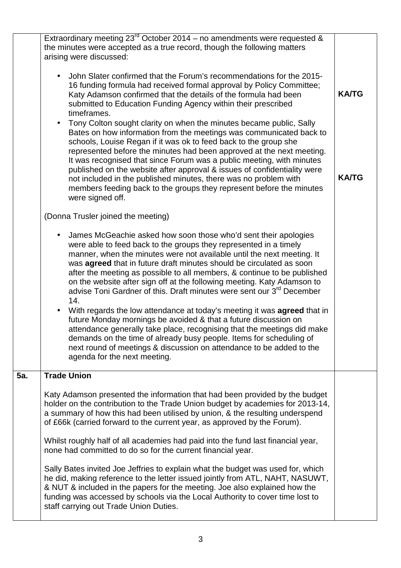|     | Extraordinary meeting $23^{rd}$ October 2014 – no amendments were requested &<br>the minutes were accepted as a true record, though the following matters<br>arising were discussed:<br>John Slater confirmed that the Forum's recommendations for the 2015-<br>16 funding formula had received formal approval by Policy Committee;                                                                                                                                                                                                                                                                                                                                                                                                                                                                                                                                                                                                                                          |              |
|-----|-------------------------------------------------------------------------------------------------------------------------------------------------------------------------------------------------------------------------------------------------------------------------------------------------------------------------------------------------------------------------------------------------------------------------------------------------------------------------------------------------------------------------------------------------------------------------------------------------------------------------------------------------------------------------------------------------------------------------------------------------------------------------------------------------------------------------------------------------------------------------------------------------------------------------------------------------------------------------------|--------------|
|     | Katy Adamson confirmed that the details of the formula had been<br>submitted to Education Funding Agency within their prescribed<br>timeframes.<br>Tony Colton sought clarity on when the minutes became public, Sally                                                                                                                                                                                                                                                                                                                                                                                                                                                                                                                                                                                                                                                                                                                                                        | <b>KA/TG</b> |
|     | Bates on how information from the meetings was communicated back to<br>schools, Louise Regan if it was ok to feed back to the group she<br>represented before the minutes had been approved at the next meeting.<br>It was recognised that since Forum was a public meeting, with minutes<br>published on the website after approval & issues of confidentiality were<br>not included in the published minutes, there was no problem with<br>members feeding back to the groups they represent before the minutes<br>were signed off.                                                                                                                                                                                                                                                                                                                                                                                                                                         | <b>KA/TG</b> |
|     | (Donna Trusler joined the meeting)                                                                                                                                                                                                                                                                                                                                                                                                                                                                                                                                                                                                                                                                                                                                                                                                                                                                                                                                            |              |
|     | James McGeachie asked how soon those who'd sent their apologies<br>were able to feed back to the groups they represented in a timely<br>manner, when the minutes were not available until the next meeting. It<br>was <b>agreed</b> that in future draft minutes should be circulated as soon<br>after the meeting as possible to all members, & continue to be published<br>on the website after sign off at the following meeting. Katy Adamson to<br>advise Toni Gardner of this. Draft minutes were sent our 3 <sup>rd</sup> December<br>14.<br>With regards the low attendance at today's meeting it was <b>agreed</b> that in<br>$\bullet$<br>future Monday mornings be avoided & that a future discussion on<br>attendance generally take place, recognising that the meetings did make<br>demands on the time of already busy people. Items for scheduling of<br>next round of meetings & discussion on attendance to be added to the<br>agenda for the next meeting. |              |
| 5a. | <b>Trade Union</b>                                                                                                                                                                                                                                                                                                                                                                                                                                                                                                                                                                                                                                                                                                                                                                                                                                                                                                                                                            |              |
|     | Katy Adamson presented the information that had been provided by the budget<br>holder on the contribution to the Trade Union budget by academies for 2013-14,<br>a summary of how this had been utilised by union, & the resulting underspend<br>of £66k (carried forward to the current year, as approved by the Forum).                                                                                                                                                                                                                                                                                                                                                                                                                                                                                                                                                                                                                                                     |              |
|     | Whilst roughly half of all academies had paid into the fund last financial year,<br>none had committed to do so for the current financial year.                                                                                                                                                                                                                                                                                                                                                                                                                                                                                                                                                                                                                                                                                                                                                                                                                               |              |
|     | Sally Bates invited Joe Jeffries to explain what the budget was used for, which<br>he did, making reference to the letter issued jointly from ATL, NAHT, NASUWT,<br>& NUT & included in the papers for the meeting. Joe also explained how the<br>funding was accessed by schools via the Local Authority to cover time lost to<br>staff carrying out Trade Union Duties.                                                                                                                                                                                                                                                                                                                                                                                                                                                                                                                                                                                                     |              |
|     |                                                                                                                                                                                                                                                                                                                                                                                                                                                                                                                                                                                                                                                                                                                                                                                                                                                                                                                                                                               |              |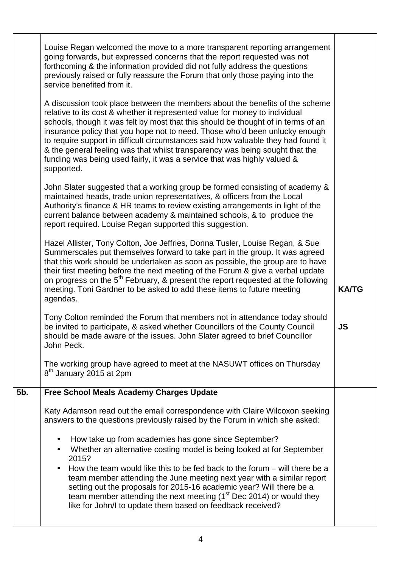|     | Louise Regan welcomed the move to a more transparent reporting arrangement<br>going forwards, but expressed concerns that the report requested was not<br>forthcoming & the information provided did not fully address the questions<br>previously raised or fully reassure the Forum that only those paying into the<br>service benefited from it.                                                                                                                                                                                                                                            |              |
|-----|------------------------------------------------------------------------------------------------------------------------------------------------------------------------------------------------------------------------------------------------------------------------------------------------------------------------------------------------------------------------------------------------------------------------------------------------------------------------------------------------------------------------------------------------------------------------------------------------|--------------|
|     | A discussion took place between the members about the benefits of the scheme<br>relative to its cost & whether it represented value for money to individual<br>schools, though it was felt by most that this should be thought of in terms of an<br>insurance policy that you hope not to need. Those who'd been unlucky enough<br>to require support in difficult circumstances said how valuable they had found it<br>& the general feeling was that whilst transparency was being sought that the<br>funding was being used fairly, it was a service that was highly valued &<br>supported. |              |
|     | John Slater suggested that a working group be formed consisting of academy &<br>maintained heads, trade union representatives, & officers from the Local<br>Authority's finance & HR teams to review existing arrangements in light of the<br>current balance between academy & maintained schools, & to produce the<br>report required. Louise Regan supported this suggestion.                                                                                                                                                                                                               |              |
|     | Hazel Allister, Tony Colton, Joe Jeffries, Donna Tusler, Louise Regan, & Sue<br>Summerscales put themselves forward to take part in the group. It was agreed<br>that this work should be undertaken as soon as possible, the group are to have<br>their first meeting before the next meeting of the Forum & give a verbal update<br>on progress on the 5 <sup>th</sup> February, & present the report requested at the following<br>meeting. Toni Gardner to be asked to add these items to future meeting<br>agendas.                                                                        | <b>KA/TG</b> |
|     | Tony Colton reminded the Forum that members not in attendance today should<br>be invited to participate, & asked whether Councillors of the County Council<br>should be made aware of the issues. John Slater agreed to brief Councillor<br>John Peck.                                                                                                                                                                                                                                                                                                                                         | <b>JS</b>    |
|     | The working group have agreed to meet at the NASUWT offices on Thursday<br>8 <sup>th</sup> January 2015 at 2pm                                                                                                                                                                                                                                                                                                                                                                                                                                                                                 |              |
| 5b. | <b>Free School Meals Academy Charges Update</b>                                                                                                                                                                                                                                                                                                                                                                                                                                                                                                                                                |              |
|     | Katy Adamson read out the email correspondence with Claire Wilcoxon seeking<br>answers to the questions previously raised by the Forum in which she asked:                                                                                                                                                                                                                                                                                                                                                                                                                                     |              |
|     | How take up from academies has gone since September?<br>Whether an alternative costing model is being looked at for September<br>2015?                                                                                                                                                                                                                                                                                                                                                                                                                                                         |              |
|     | How the team would like this to be fed back to the forum $-$ will there be a<br>team member attending the June meeting next year with a similar report<br>setting out the proposals for 2015-16 academic year? Will there be a<br>team member attending the next meeting $(1st Dec 2014)$ or would they<br>like for John/I to update them based on feedback received?                                                                                                                                                                                                                          |              |